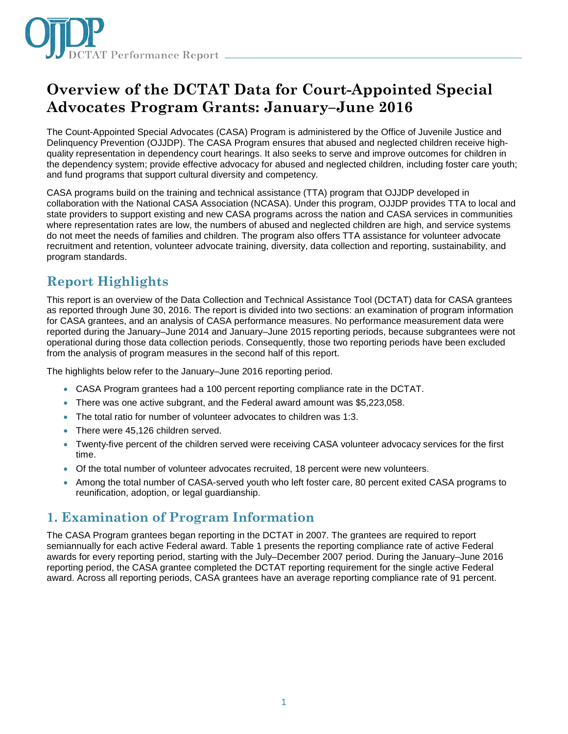

# **Overview of the DCTAT Data for Court-Appointed Special Advocates Program Grants: January–June 2016**

The Count-Appointed Special Advocates (CASA) Program is administered by the Office of Juvenile Justice and Delinquency Prevention (OJJDP). The CASA Program ensures that abused and neglected children receive highquality representation in dependency court hearings. It also seeks to serve and improve outcomes for children in the dependency system; provide effective advocacy for abused and neglected children, including foster care youth; and fund programs that support cultural diversity and competency.

CASA programs build on the training and technical assistance (TTA) program that OJJDP developed in collaboration with the National CASA Association (NCASA). Under this program, OJJDP provides TTA to local and state providers to support existing and new CASA programs across the nation and CASA services in communities where representation rates are low, the numbers of abused and neglected children are high, and service systems do not meet the needs of families and children. The program also offers TTA assistance for volunteer advocate recruitment and retention, volunteer advocate training, diversity, data collection and reporting, sustainability, and program standards.

## **Report Highlights**

This report is an overview of the Data Collection and Technical Assistance Tool (DCTAT) data for CASA grantees as reported through June 30, 2016. The report is divided into two sections: an examination of program information for CASA grantees, and an analysis of CASA performance measures. No performance measurement data were reported during the January–June 2014 and January–June 2015 reporting periods, because subgrantees were not operational during those data collection periods. Consequently, those two reporting periods have been excluded from the analysis of program measures in the second half of this report.

The highlights below refer to the January–June 2016 reporting period.

- CASA Program grantees had a 100 percent reporting compliance rate in the DCTAT.
- There was one active subgrant, and the Federal award amount was \$5,223,058.
- The total ratio for number of volunteer advocates to children was 1:3.
- There were 45,126 children served.
- Twenty-five percent of the children served were receiving CASA volunteer advocacy services for the first time.
- Of the total number of volunteer advocates recruited, 18 percent were new volunteers.
- Among the total number of CASA-served youth who left foster care, 80 percent exited CASA programs to reunification, adoption, or legal guardianship.

## **1. Examination of Program Information**

The CASA Program grantees began reporting in the DCTAT in 2007. The grantees are required to report semiannually for each active Federal award. Table 1 presents the reporting compliance rate of active Federal awards for every reporting period, starting with the July–December 2007 period. During the January–June 2016 reporting period, the CASA grantee completed the DCTAT reporting requirement for the single active Federal award. Across all reporting periods, CASA grantees have an average reporting compliance rate of 91 percent.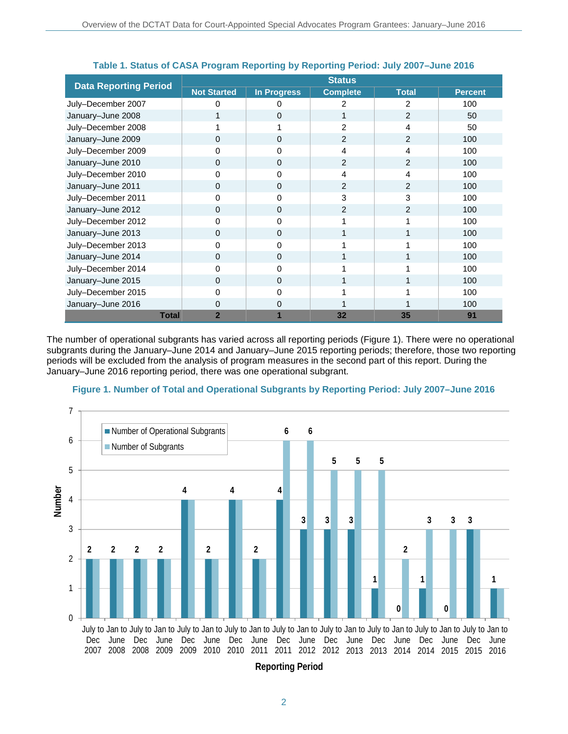|                              | <b>Status</b>      |                    |                 |                |                |
|------------------------------|--------------------|--------------------|-----------------|----------------|----------------|
| <b>Data Reporting Period</b> | <b>Not Started</b> | <b>In Progress</b> | <b>Complete</b> | <b>Total</b>   | <b>Percent</b> |
| July-December 2007           | 0                  | 0                  | 2               | 2              | 100            |
| January-June 2008            |                    | $\Omega$           |                 | $\overline{2}$ | 50             |
| July-December 2008           |                    |                    | 2               | 4              | 50             |
| January-June 2009            | $\Omega$           | $\Omega$           | $\overline{2}$  | $\overline{2}$ | 100            |
| July-December 2009           | 0                  | 0                  | 4               | 4              | 100            |
| January-June 2010            | $\Omega$           | $\Omega$           | $\mathcal{P}$   | $\overline{2}$ | 100            |
| July-December 2010           | 0                  | 0                  | 4               | 4              | 100            |
| January-June 2011            | 0                  | 0                  | $\overline{2}$  | $\overline{2}$ | 100            |
| July-December 2011           | 0                  | 0                  | 3               | 3              | 100            |
| January-June 2012            | $\Omega$           | $\Omega$           | $\overline{2}$  | $\overline{2}$ | 100            |
| July-December 2012           | 0                  | 0                  |                 |                | 100            |
| January-June 2013            | $\Omega$           | $\Omega$           |                 |                | 100            |
| July-December 2013           | 0                  | 0                  |                 |                | 100            |
| January-June 2014            | 0                  | $\Omega$           |                 |                | 100            |
| July-December 2014           | 0                  | $\Omega$           |                 |                | 100            |
| January-June 2015            | 0                  | 0                  |                 |                | 100            |
| July-December 2015           | 0                  | 0                  |                 |                | 100            |
| January-June 2016            | 0                  | 0                  |                 |                | 100            |
| <b>Total</b>                 | $\overline{2}$     |                    | 32              | 35             | 91             |

## **Table 1. Status of CASA Program Reporting by Reporting Period: July 2007–June 2016**

The number of operational subgrants has varied across all reporting periods (Figure 1). There were no operational subgrants during the January–June 2014 and January–June 2015 reporting periods; therefore, those two reporting periods will be excluded from the analysis of program measures in the second part of this report. During the January–June 2016 reporting period, there was one operational subgrant.





**Reporting Period**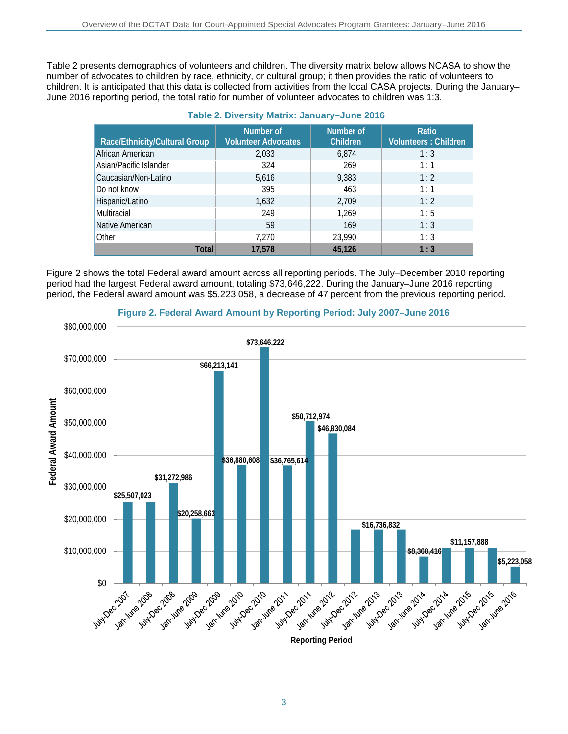Table 2 presents demographics of volunteers and children. The diversity matrix below allows NCASA to show the number of advocates to children by race, ethnicity, or cultural group; it then provides the ratio of volunteers to children. It is anticipated that this data is collected from activities from the local CASA projects. During the January– June 2016 reporting period, the total ratio for number of volunteer advocates to children was 1:3.

| Race/Ethnicity/Cultural Group | Number of<br><b>Volunteer Advocates</b> | Number of<br><b>Children</b> | Ratio<br><b>Volunteers: Children</b> |
|-------------------------------|-----------------------------------------|------------------------------|--------------------------------------|
| African American              | 2,033                                   | 6,874                        | 1:3                                  |
| Asian/Pacific Islander        | 324                                     | 269                          | 1:1                                  |
| Caucasian/Non-Latino          | 5,616                                   | 9,383                        | 1:2                                  |
| Do not know                   | 395                                     | 463                          | 1:1                                  |
| Hispanic/Latino               | 1,632                                   | 2,709                        | 1:2                                  |
| Multiracial                   | 249                                     | 1,269                        | 1:5                                  |
| Native American               | 59                                      | 169                          | 1:3                                  |
| Other                         | 7.270                                   | 23,990                       | 1:3                                  |
| <b>Total</b>                  | 17,578                                  | 45.126                       | 1:3                                  |

## **Table 2. Diversity Matrix: January–June 2016**

Figure 2 shows the total Federal award amount across all reporting periods. The July–December 2010 reporting period had the largest Federal award amount, totaling \$73,646,222. During the January–June 2016 reporting period, the Federal award amount was \$5,223,058, a decrease of 47 percent from the previous reporting period.



**Figure 2. Federal Award Amount by Reporting Period: July 2007–June 2016**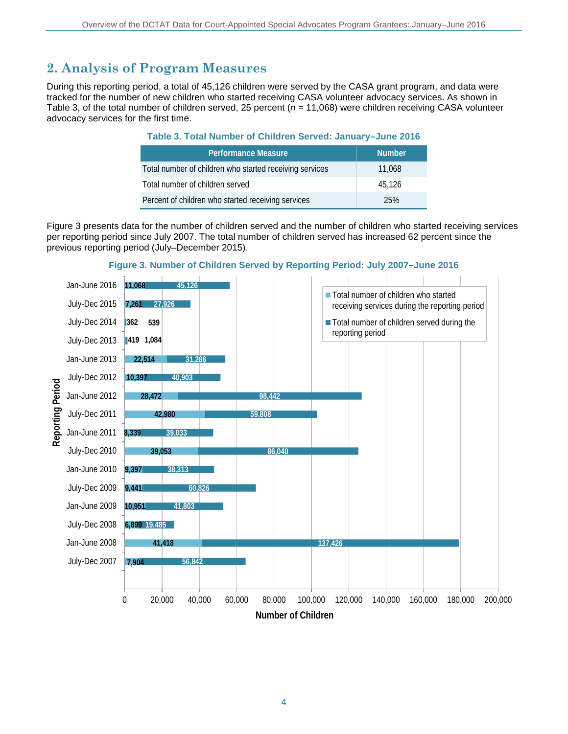## **2. Analysis of Program Measures**

During this reporting period, a total of 45,126 children were served by the CASA grant program, and data were tracked for the number of new children who started receiving CASA volunteer advocacy services. As shown in Table 3, of the total number of children served, 25 percent (*n* = 11,068) were children receiving CASA volunteer advocacy services for the first time.

## **Table 3. Total Number of Children Served: January–June 2016**

| <b>Performance Measure</b>                              | <b>Number</b> |
|---------------------------------------------------------|---------------|
| Total number of children who started receiving services | 11.068        |
| Total number of children served                         | 45.126        |
| Percent of children who started receiving services      | 25%           |

Figure 3 presents data for the number of children served and the number of children who started receiving services per reporting period since July 2007. The total number of children served has increased 62 percent since the previous reporting period (July–December 2015).



## **Figure 3. Number of Children Served by Reporting Period: July 2007–June 2016**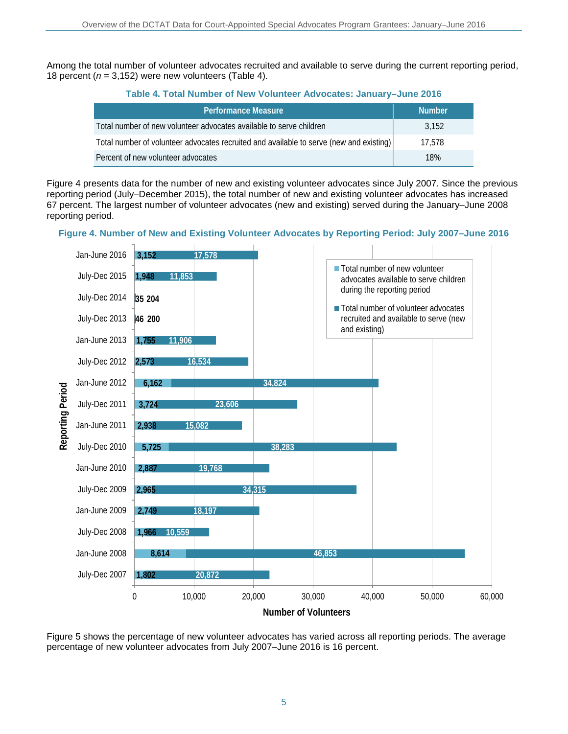Among the total number of volunteer advocates recruited and available to serve during the current reporting period, 18 percent ( $n = 3,152$ ) were new volunteers (Table 4).

| <b>Performance Measure</b>                                                              | <b>Number</b> |
|-----------------------------------------------------------------------------------------|---------------|
| Total number of new volunteer advocates available to serve children                     | 3.152         |
| Total number of volunteer advocates recruited and available to serve (new and existing) | 17.578        |
| Percent of new volunteer advocates                                                      | 18%           |

Figure 4 presents data for the number of new and existing volunteer advocates since July 2007. Since the previous reporting period (July–December 2015), the total number of new and existing volunteer advocates has increased 67 percent. The largest number of volunteer advocates (new and existing) served during the January–June 2008 reporting period.

**Figure 4. Number of New and Existing Volunteer Advocates by Reporting Period: July 2007–June 2016**



Figure 5 shows the percentage of new volunteer advocates has varied across all reporting periods. The average percentage of new volunteer advocates from July 2007–June 2016 is 16 percent.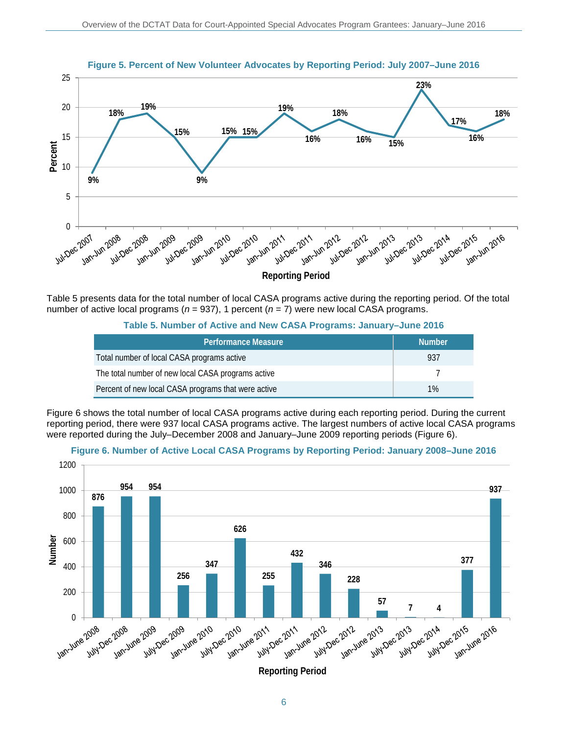

**Figure 5. Percent of New Volunteer Advocates by Reporting Period: July 2007–June 2016**

Table 5 presents data for the total number of local CASA programs active during the reporting period. Of the total number of active local programs (*n* = 937), 1 percent (*n* = 7) were new local CASA programs.

#### **Table 5. Number of Active and New CASA Programs: January–June 2016**

| <b>Performance Measure</b>                          | <b>Number</b> |
|-----------------------------------------------------|---------------|
| Total number of local CASA programs active          | 937           |
| The total number of new local CASA programs active  |               |
| Percent of new local CASA programs that were active | 1%            |

Figure 6 shows the total number of local CASA programs active during each reporting period. During the current reporting period, there were 937 local CASA programs active. The largest numbers of active local CASA programs were reported during the July–December 2008 and January–June 2009 reporting periods (Figure 6).



**Figure 6. Number of Active Local CASA Programs by Reporting Period: January 2008–June 2016**

**Reporting Period**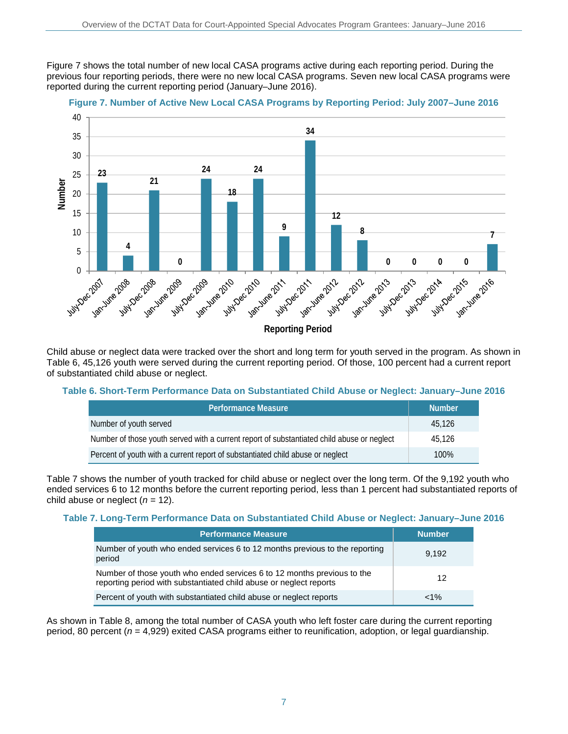Figure 7 shows the total number of new local CASA programs active during each reporting period. During the previous four reporting periods, there were no new local CASA programs. Seven new local CASA programs were reported during the current reporting period (January–June 2016).



## **Figure 7. Number of Active New Local CASA Programs by Reporting Period: July 2007–June 2016**

Child abuse or neglect data were tracked over the short and long term for youth served in the program. As shown in Table 6, 45,126 youth were served during the current reporting period. Of those, 100 percent had a current report of substantiated child abuse or neglect.

## **Table 6. Short-Term Performance Data on Substantiated Child Abuse or Neglect: January–June 2016**

| <b>Performance Measure</b>                                                                 | <b>Number</b> |
|--------------------------------------------------------------------------------------------|---------------|
| Number of youth served                                                                     | 45.126        |
| Number of those youth served with a current report of substantiated child abuse or neglect | 45.126        |
| Percent of youth with a current report of substantiated child abuse or neglect             | 100%          |

Table 7 shows the number of youth tracked for child abuse or neglect over the long term. Of the 9,192 youth who ended services 6 to 12 months before the current reporting period, less than 1 percent had substantiated reports of child abuse or neglect  $(n = 12)$ .

### **Table 7. Long-Term Performance Data on Substantiated Child Abuse or Neglect: January–June 2016**

| <b>Performance Measure</b>                                                                                                                    | <b>Number</b> |
|-----------------------------------------------------------------------------------------------------------------------------------------------|---------------|
| Number of youth who ended services 6 to 12 months previous to the reporting<br>period                                                         | 9.192         |
| Number of those youth who ended services 6 to 12 months previous to the<br>reporting period with substantiated child abuse or neglect reports | 12            |
| Percent of youth with substantiated child abuse or neglect reports                                                                            | $< 1\%$       |

As shown in Table 8, among the total number of CASA youth who left foster care during the current reporting period, 80 percent (*n* = 4,929) exited CASA programs either to reunification, adoption, or legal guardianship.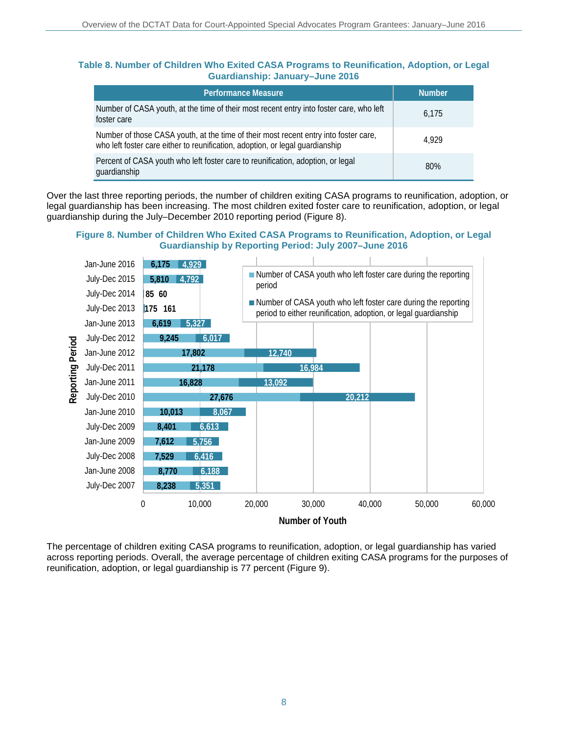## **Table 8. Number of Children Who Exited CASA Programs to Reunification, Adoption, or Legal Guardianship: January–June 2016**

| <b>Performance Measure</b>                                                                                                                                            | <b>Number</b> |
|-----------------------------------------------------------------------------------------------------------------------------------------------------------------------|---------------|
| Number of CASA youth, at the time of their most recent entry into foster care, who left<br>foster care                                                                | 6.175         |
| Number of those CASA youth, at the time of their most recent entry into foster care,<br>who left foster care either to reunification, adoption, or legal guardianship | 4.929         |
| Percent of CASA youth who left foster care to reunification, adoption, or legal<br>guardianship                                                                       | 80%           |

Over the last three reporting periods, the number of children exiting CASA programs to reunification, adoption, or legal guardianship has been increasing. The most children exited foster care to reunification, adoption, or legal guardianship during the July–December 2010 reporting period (Figure 8).

### **Figure 8. Number of Children Who Exited CASA Programs to Reunification, Adoption, or Legal Guardianship by Reporting Period: July 2007–June 2016**



The percentage of children exiting CASA programs to reunification, adoption, or legal guardianship has varied across reporting periods. Overall, the average percentage of children exiting CASA programs for the purposes of reunification, adoption, or legal guardianship is 77 percent (Figure 9).